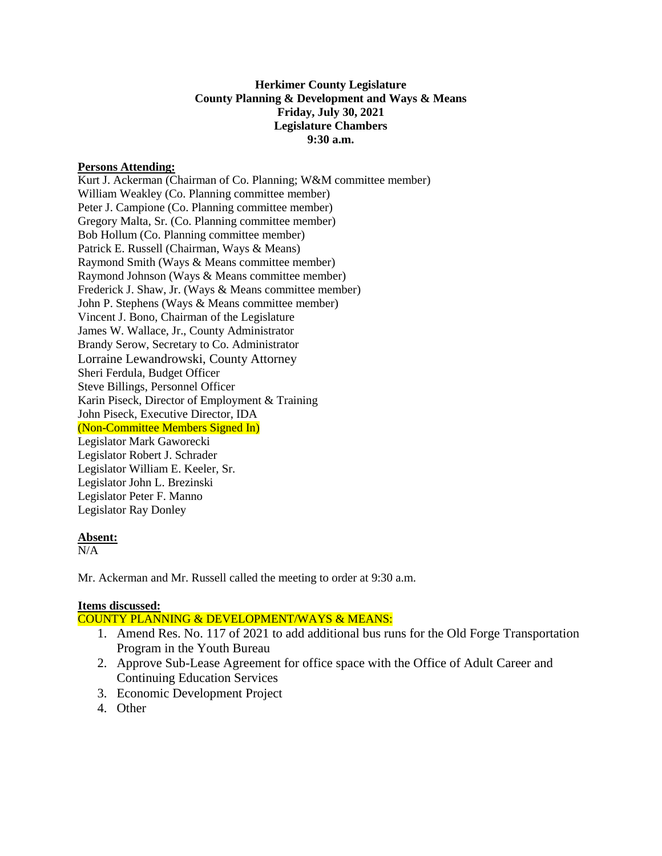### **Herkimer County Legislature County Planning & Development and Ways & Means Friday, July 30, 2021 Legislature Chambers 9:30 a.m.**

### **Persons Attending:**

Kurt J. Ackerman (Chairman of Co. Planning; W&M committee member) William Weakley (Co. Planning committee member) Peter J. Campione (Co. Planning committee member) Gregory Malta, Sr. (Co. Planning committee member) Bob Hollum (Co. Planning committee member) Patrick E. Russell (Chairman, Ways & Means) Raymond Smith (Ways & Means committee member) Raymond Johnson (Ways & Means committee member) Frederick J. Shaw, Jr. (Ways & Means committee member) John P. Stephens (Ways & Means committee member) Vincent J. Bono, Chairman of the Legislature James W. Wallace, Jr., County Administrator Brandy Serow, Secretary to Co. Administrator Lorraine Lewandrowski, County Attorney Sheri Ferdula, Budget Officer Steve Billings, Personnel Officer Karin Piseck, Director of Employment & Training John Piseck, Executive Director, IDA (Non-Committee Members Signed In) Legislator Mark Gaworecki Legislator Robert J. Schrader Legislator William E. Keeler, Sr. Legislator John L. Brezinski Legislator Peter F. Manno Legislator Ray Donley

### **Absent:**

 $N/A$ 

Mr. Ackerman and Mr. Russell called the meeting to order at 9:30 a.m.

### **Items discussed:**

COUNTY PLANNING & DEVELOPMENT/WAYS & MEANS:

- 1. Amend Res. No. 117 of 2021 to add additional bus runs for the Old Forge Transportation Program in the Youth Bureau
- 2. Approve Sub-Lease Agreement for office space with the Office of Adult Career and Continuing Education Services
- 3. Economic Development Project
- 4. Other